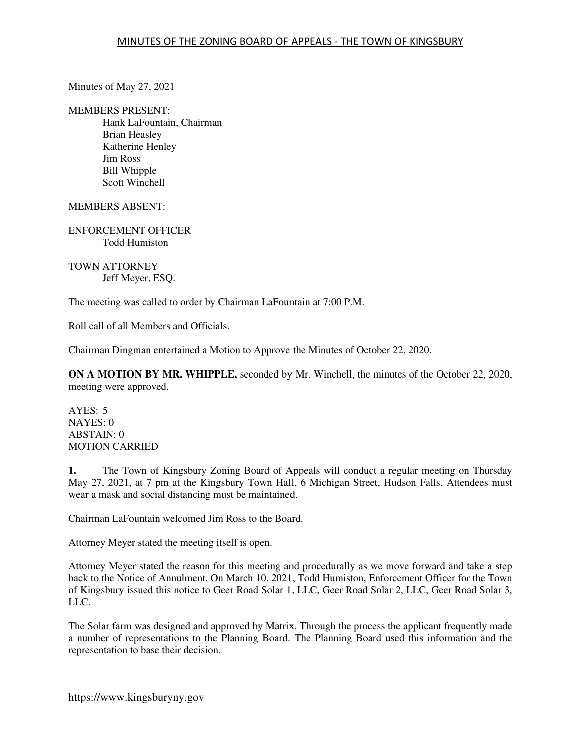Minutes of May 27, 2021

## MEMBERS PRESENT:

 Hank LaFountain, Chairman Brian Heasley Katherine Henley Jim Ross Bill Whipple Scott Winchell

## MEMBERS ABSENT:

ENFORCEMENT OFFICER Todd Humiston

TOWN ATTORNEY Jeff Meyer, ESQ.

The meeting was called to order by Chairman LaFountain at 7:00 P.M.

Roll call of all Members and Officials.

Chairman Dingman entertained a Motion to Approve the Minutes of October 22, 2020.

**ON A MOTION BY MR. WHIPPLE,** seconded by Mr. Winchell, the minutes of the October 22, 2020, meeting were approved.

AYES: 5 NAYES: 0 ABSTAIN: 0 MOTION CARRIED

**1.** The Town of Kingsbury Zoning Board of Appeals will conduct a regular meeting on Thursday May 27, 2021, at 7 pm at the Kingsbury Town Hall, 6 Michigan Street, Hudson Falls. Attendees must wear a mask and social distancing must be maintained.

Chairman LaFountain welcomed Jim Ross to the Board.

Attorney Meyer stated the meeting itself is open.

Attorney Meyer stated the reason for this meeting and procedurally as we move forward and take a step back to the Notice of Annulment. On March 10, 2021, Todd Humiston, Enforcement Officer for the Town of Kingsbury issued this notice to Geer Road Solar 1, LLC, Geer Road Solar 2, LLC, Geer Road Solar 3, LLC.

The Solar farm was designed and approved by Matrix. Through the process the applicant frequently made a number of representations to the Planning Board. The Planning Board used this information and the representation to base their decision.